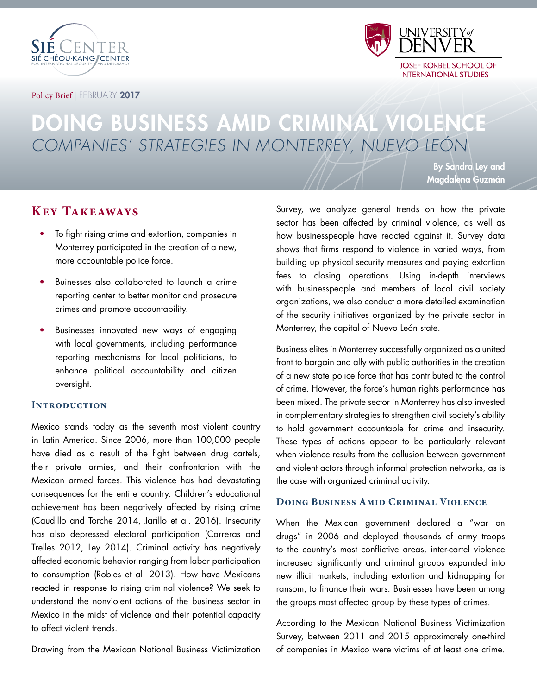



Policy Brief | FEBRUARY 2017

# DOING BUSINESS AMID CRIMINAL VIOLENCE COMPANIES' STRATEGIES IN MONTERREY, NUEVO LEÓN

By Sandra Ley and Magdalena Guzmán

# **Key Takeaways**

- To fight rising crime and extortion, companies in Monterrey participated in the creation of a new, more accountable police force.
- Buinesses also collaborated to launch a crime reporting center to better monitor and prosecute crimes and promote accountability.
- Businesses innovated new ways of engaging with local governments, including performance reporting mechanisms for local politicians, to enhance political accountability and citizen oversight.

#### **Introduction**

Mexico stands today as the seventh most violent country in Latin America. Since 2006, more than 100,000 people have died as a result of the fight between drug cartels, their private armies, and their confrontation with the Mexican armed forces. This violence has had devastating consequences for the entire country. Children's educational achievement has been negatively affected by rising crime (Caudillo and Torche 2014, Jarillo et al. 2016). Insecurity has also depressed electoral participation (Carreras and Trelles 2012, Ley 2014). Criminal activity has negatively affected economic behavior ranging from labor participation to consumption (Robles et al. 2013). How have Mexicans reacted in response to rising criminal violence? We seek to understand the nonviolent actions of the business sector in Mexico in the midst of violence and their potential capacity to affect violent trends.

Drawing from the Mexican National Business Victimization

Survey, we analyze general trends on how the private sector has been affected by criminal violence, as well as how businesspeople have reacted against it. Survey data shows that firms respond to violence in varied ways, from building up physical security measures and paying extortion fees to closing operations. Using in-depth interviews with businesspeople and members of local civil society organizations, we also conduct a more detailed examination of the security initiatives organized by the private sector in Monterrey, the capital of Nuevo León state.

Business elites in Monterrey successfully organized as a united front to bargain and ally with public authorities in the creation of a new state police force that has contributed to the control of crime. However, the force's human rights performance has been mixed. The private sector in Monterrey has also invested in complementary strategies to strengthen civil society's ability to hold government accountable for crime and insecurity. These types of actions appear to be particularly relevant when violence results from the collusion between government and violent actors through informal protection networks, as is the case with organized criminal activity.

### **Doing Business Amid Criminal Violence**

When the Mexican government declared a "war on drugs" in 2006 and deployed thousands of army troops to the country's most conflictive areas, inter-cartel violence increased significantly and criminal groups expanded into new illicit markets, including extortion and kidnapping for ransom, to finance their wars. Businesses have been among the groups most affected group by these types of crimes.

According to the Mexican National Business Victimization Survey, between 2011 and 2015 approximately one-third of companies in Mexico were victims of at least one crime.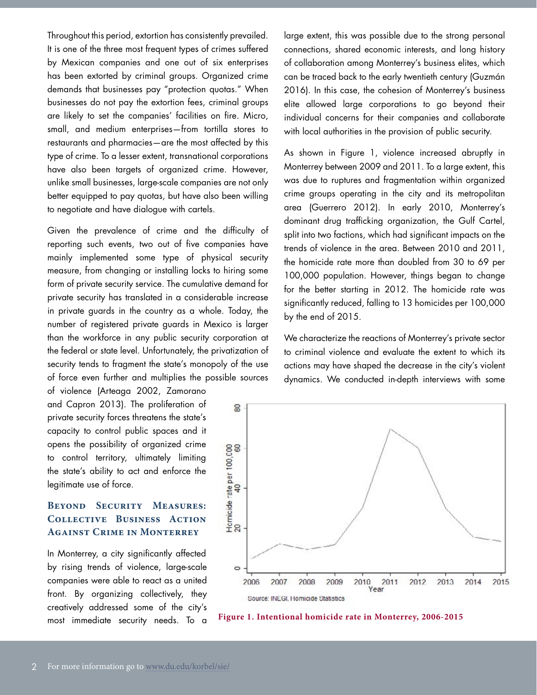Throughout this period, extortion has consistently prevailed. It is one of the three most frequent types of crimes suffered by Mexican companies and one out of six enterprises has been extorted by criminal groups. Organized crime demands that businesses pay "protection quotas." When businesses do not pay the extortion fees, criminal groups are likely to set the companies' facilities on fire. Micro, small, and medium enterprises—from tortilla stores to restaurants and pharmacies—are the most affected by this type of crime. To a lesser extent, transnational corporations have also been targets of organized crime. However, unlike small businesses, large-scale companies are not only better equipped to pay quotas, but have also been willing to negotiate and have dialogue with cartels.

Given the prevalence of crime and the difficulty of reporting such events, two out of five companies have mainly implemented some type of physical security measure, from changing or installing locks to hiring some form of private security service. The cumulative demand for private security has translated in a considerable increase in private guards in the country as a whole. Today, the number of registered private guards in Mexico is larger than the workforce in any public security corporation at the federal or state level. Unfortunately, the privatization of security tends to fragment the state's monopoly of the use of force even further and multiplies the possible sources

of violence (Arteaga 2002, Zamorano and Capron 2013). The proliferation of private security forces threatens the state's capacity to control public spaces and it opens the possibility of organized crime to control territory, ultimately limiting the state's ability to act and enforce the legitimate use of force.

## **Beyond Security Measures: Collective Business Action Against Crime in Monterrey**

In Monterrey, a city significantly affected by rising trends of violence, large-scale companies were able to react as a united front. By organizing collectively, they creatively addressed some of the city's most immediate security needs. To a large extent, this was possible due to the strong personal connections, shared economic interests, and long history of collaboration among Monterrey's business elites, which can be traced back to the early twentieth century (Guzmán 2016). In this case, the cohesion of Monterrey's business elite allowed large corporations to go beyond their individual concerns for their companies and collaborate with local authorities in the provision of public security.

As shown in Figure 1, violence increased abruptly in Monterrey between 2009 and 2011. To a large extent, this was due to ruptures and fragmentation within organized crime groups operating in the city and its metropolitan area (Guerrero 2012). In early 2010, Monterrey's dominant drug trafficking organization, the Gulf Cartel, split into two factions, which had significant impacts on the trends of violence in the area. Between 2010 and 2011, the homicide rate more than doubled from 30 to 69 per 100,000 population. However, things began to change for the better starting in 2012. The homicide rate was significantly reduced, falling to 13 homicides per 100,000 by the end of 2015.

We characterize the reactions of Monterrey's private sector to criminal violence and evaluate the extent to which its actions may have shaped the decrease in the city's violent dynamics. We conducted in-depth interviews with some



**Figure 1. Intentional homicide rate in Monterrey, 2006-2015**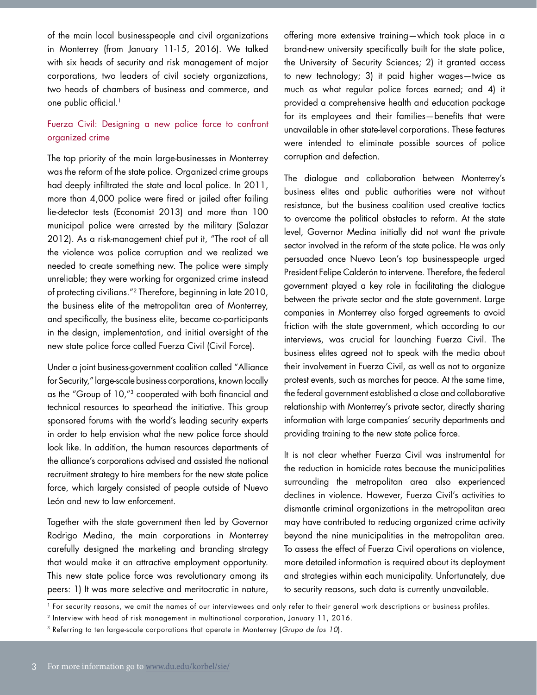of the main local businesspeople and civil organizations in Monterrey (from January 11-15, 2016). We talked with six heads of security and risk management of major corporations, two leaders of civil society organizations, two heads of chambers of business and commerce, and one public official.<sup>1</sup>

## Fuerza Civil: Designing a new police force to confront organized crime

The top priority of the main large-businesses in Monterrey was the reform of the state police. Organized crime groups had deeply infiltrated the state and local police. In 2011, more than 4,000 police were fired or jailed after failing lie-detector tests (Economist 2013) and more than 100 municipal police were arrested by the military (Salazar 2012). As a risk-management chief put it, "The root of all the violence was police corruption and we realized we needed to create something new. The police were simply unreliable; they were working for organized crime instead of protecting civilians."2 Therefore, beginning in late 2010, the business elite of the metropolitan area of Monterrey, and specifically, the business elite, became co-participants in the design, implementation, and initial oversight of the new state police force called Fuerza Civil (Civil Force).

Under a joint business-government coalition called "Alliance for Security," large-scale business corporations, known locally as the "Group of 10,"3 cooperated with both financial and technical resources to spearhead the initiative. This group sponsored forums with the world's leading security experts in order to help envision what the new police force should look like. In addition, the human resources departments of the alliance's corporations advised and assisted the national recruitment strategy to hire members for the new state police force, which largely consisted of people outside of Nuevo León and new to law enforcement.

Together with the state government then led by Governor Rodrigo Medina, the main corporations in Monterrey carefully designed the marketing and branding strategy that would make it an attractive employment opportunity. This new state police force was revolutionary among its peers: 1) It was more selective and meritocratic in nature,

offering more extensive training—which took place in a brand-new university specifically built for the state police, the University of Security Sciences; 2) it granted access to new technology; 3) it paid higher wages—twice as much as what regular police forces earned; and 4) it provided a comprehensive health and education package for its employees and their families—benefits that were unavailable in other state-level corporations. These features were intended to eliminate possible sources of police corruption and defection.

The dialogue and collaboration between Monterrey's business elites and public authorities were not without resistance, but the business coalition used creative tactics to overcome the political obstacles to reform. At the state level, Governor Medina initially did not want the private sector involved in the reform of the state police. He was only persuaded once Nuevo Leon's top businesspeople urged President Felipe Calderón to intervene. Therefore, the federal government played a key role in facilitating the dialogue between the private sector and the state government. Large companies in Monterrey also forged agreements to avoid friction with the state government, which according to our interviews, was crucial for launching Fuerza Civil. The business elites agreed not to speak with the media about their involvement in Fuerza Civil, as well as not to organize protest events, such as marches for peace. At the same time, the federal government established a close and collaborative relationship with Monterrey's private sector, directly sharing information with large companies' security departments and providing training to the new state police force.

It is not clear whether Fuerza Civil was instrumental for the reduction in homicide rates because the municipalities surrounding the metropolitan area also experienced declines in violence. However, Fuerza Civil's activities to dismantle criminal organizations in the metropolitan area may have contributed to reducing organized crime activity beyond the nine municipalities in the metropolitan area. To assess the effect of Fuerza Civil operations on violence, more detailed information is required about its deployment and strategies within each municipality. Unfortunately, due to security reasons, such data is currently unavailable.

<sup>1</sup> For security reasons, we omit the names of our interviewees and only refer to their general work descriptions or business profiles.

<sup>2</sup> Interview with head of risk management in multinational corporation, January 11, 2016.

<sup>&</sup>lt;sup>3</sup> Referring to ten large-scale corporations that operate in Monterrey (Grupo de los 10).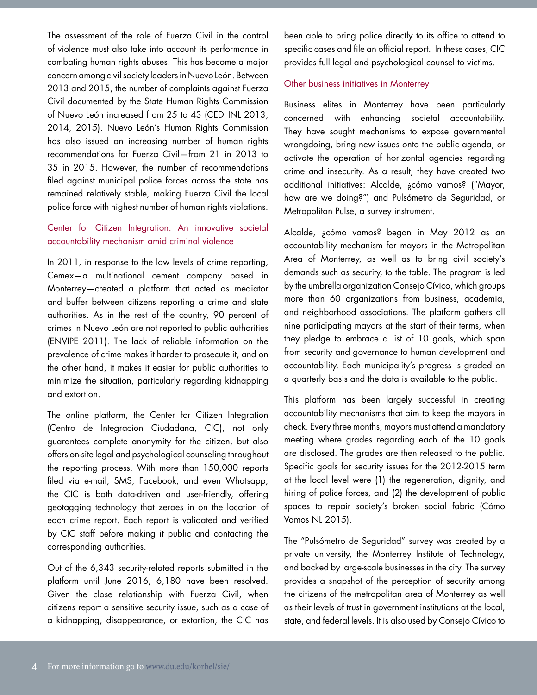The assessment of the role of Fuerza Civil in the control of violence must also take into account its performance in combating human rights abuses. This has become a major concern among civil society leaders in Nuevo León. Between 2013 and 2015, the number of complaints against Fuerza Civil documented by the State Human Rights Commission of Nuevo León increased from 25 to 43 (CEDHNL 2013, 2014, 2015). Nuevo León's Human Rights Commission has also issued an increasing number of human rights recommendations for Fuerza Civil—from 21 in 2013 to 35 in 2015. However, the number of recommendations filed against municipal police forces across the state has remained relatively stable, making Fuerza Civil the local police force with highest number of human rights violations.

## Center for Citizen Integration: An innovative societal accountability mechanism amid criminal violence

In 2011, in response to the low levels of crime reporting, Cemex—a multinational cement company based in Monterrey—created a platform that acted as mediator and buffer between citizens reporting a crime and state authorities. As in the rest of the country, 90 percent of crimes in Nuevo León are not reported to public authorities (ENVIPE 2011). The lack of reliable information on the prevalence of crime makes it harder to prosecute it, and on the other hand, it makes it easier for public authorities to minimize the situation, particularly regarding kidnapping and extortion.

The online platform, the Center for Citizen Integration (Centro de Integracion Ciudadana, CIC), not only guarantees complete anonymity for the citizen, but also offers on-site legal and psychological counseling throughout the reporting process. With more than 150,000 reports filed via e-mail, SMS, Facebook, and even Whatsapp, the CIC is both data-driven and user-friendly, offering geotagging technology that zeroes in on the location of each crime report. Each report is validated and verified by CIC staff before making it public and contacting the corresponding authorities.

Out of the 6,343 security-related reports submitted in the platform until June 2016, 6,180 have been resolved. Given the close relationship with Fuerza Civil, when citizens report a sensitive security issue, such as a case of a kidnapping, disappearance, or extortion, the CIC has

been able to bring police directly to its office to attend to specific cases and file an official report. In these cases, CIC provides full legal and psychological counsel to victims.

#### Other business initiatives in Monterrey

Business elites in Monterrey have been particularly concerned with enhancing societal accountability. They have sought mechanisms to expose governmental wrongdoing, bring new issues onto the public agenda, or activate the operation of horizontal agencies regarding crime and insecurity. As a result, they have created two additional initiatives: Alcalde, ¿cómo vamos? ("Mayor, how are we doing?") and Pulsómetro de Seguridad, or Metropolitan Pulse, a survey instrument.

Alcalde, ¿cómo vamos? began in May 2012 as an accountability mechanism for mayors in the Metropolitan Area of Monterrey, as well as to bring civil society's demands such as security, to the table. The program is led by the umbrella organization Consejo Cívico, which groups more than 60 organizations from business, academia, and neighborhood associations. The platform gathers all nine participating mayors at the start of their terms, when they pledge to embrace a list of 10 goals, which span from security and governance to human development and accountability. Each municipality's progress is graded on a quarterly basis and the data is available to the public.

This platform has been largely successful in creating accountability mechanisms that aim to keep the mayors in check. Every three months, mayors must attend a mandatory meeting where grades regarding each of the 10 goals are disclosed. The grades are then released to the public. Specific goals for security issues for the 2012-2015 term at the local level were (1) the regeneration, dignity, and hiring of police forces, and (2) the development of public spaces to repair society's broken social fabric (Cómo Vamos NL 2015).

The "Pulsómetro de Seguridad" survey was created by a private university, the Monterrey Institute of Technology, and backed by large-scale businesses in the city. The survey provides a snapshot of the perception of security among the citizens of the metropolitan area of Monterrey as well as their levels of trust in government institutions at the local, state, and federal levels. It is also used by Consejo Cívico to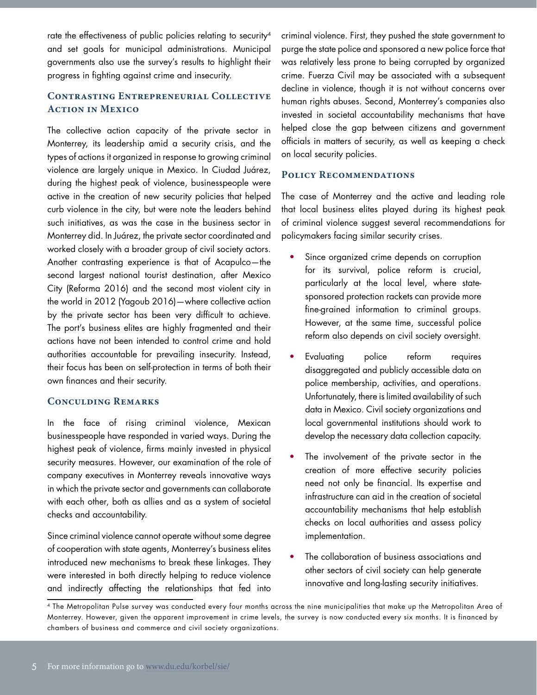rate the effectiveness of public policies relating to security<sup>4</sup> and set goals for municipal administrations. Municipal governments also use the survey's results to highlight their progress in fighting against crime and insecurity.

## **Contrasting Entrepreneurial Collective Action in Mexico**

The collective action capacity of the private sector in Monterrey, its leadership amid a security crisis, and the types of actions it organized in response to growing criminal violence are largely unique in Mexico. In Ciudad Juárez, during the highest peak of violence, businesspeople were active in the creation of new security policies that helped curb violence in the city, but were note the leaders behind such initiatives, as was the case in the business sector in Monterrey did. In Juárez, the private sector coordinated and worked closely with a broader group of civil society actors. Another contrasting experience is that of Acapulco—the second largest national tourist destination, after Mexico City (Reforma 2016) and the second most violent city in the world in 2012 (Yagoub 2016)—where collective action by the private sector has been very difficult to achieve. The port's business elites are highly fragmented and their actions have not been intended to control crime and hold authorities accountable for prevailing insecurity. Instead, their focus has been on self-protection in terms of both their own finances and their security.

#### **Conculding Remarks**

In the face of rising criminal violence, Mexican businesspeople have responded in varied ways. During the highest peak of violence, firms mainly invested in physical security measures. However, our examination of the role of company executives in Monterrey reveals innovative ways in which the private sector and governments can collaborate with each other, both as allies and as a system of societal checks and accountability.

Since criminal violence cannot operate without some degree of cooperation with state agents, Monterrey's business elites introduced new mechanisms to break these linkages. They were interested in both directly helping to reduce violence and indirectly affecting the relationships that fed into

criminal violence. First, they pushed the state government to purge the state police and sponsored a new police force that was relatively less prone to being corrupted by organized crime. Fuerza Civil may be associated with a subsequent decline in violence, though it is not without concerns over human rights abuses. Second, Monterrey's companies also invested in societal accountability mechanisms that have helped close the gap between citizens and government officials in matters of security, as well as keeping a check on local security policies.

#### **Policy Recommendations**

The case of Monterrey and the active and leading role that local business elites played during its highest peak of criminal violence suggest several recommendations for policymakers facing similar security crises.

- Since organized crime depends on corruption for its survival, police reform is crucial, particularly at the local level, where statesponsored protection rackets can provide more fine-grained information to criminal groups. However, at the same time, successful police reform also depends on civil society oversight.
- Evaluating police reform requires disaggregated and publicly accessible data on police membership, activities, and operations. Unfortunately, there is limited availability of such data in Mexico. Civil society organizations and local governmental institutions should work to develop the necessary data collection capacity.
- The involvement of the private sector in the creation of more effective security policies need not only be financial. Its expertise and infrastructure can aid in the creation of societal accountability mechanisms that help establish checks on local authorities and assess policy implementation.
- The collaboration of business associations and other sectors of civil society can help generate innovative and long-lasting security initiatives.

<sup>4</sup> The Metropolitan Pulse survey was conducted every four months across the nine municipalities that make up the Metropolitan Area of Monterrey. However, given the apparent improvement in crime levels, the survey is now conducted every six months. It is financed by chambers of business and commerce and civil society organizations.